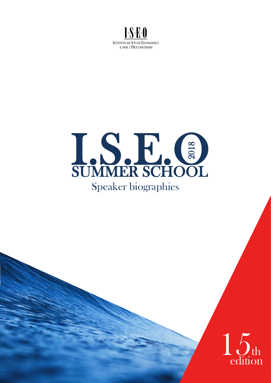



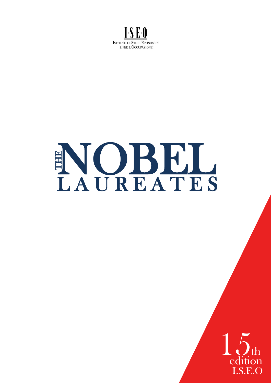

# EN OBEL ٠

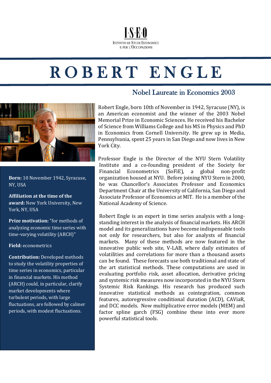#### **I-S-R-0 ISTITUTO DI STUDI ECONOMICI** E PER L'OCCUPAZIONE

# R O B E R T E N G L E



**Born:** 10 November 1942, Syracuse, NY, USA

**Affiliation at the time of the award:** New York University, New York, NY, USA

**Prize motivation:** "for methods of analyzing economic time series with time-varying volatility (ARCH)"

#### **Field:** econometrics

**Contribution:** Developed methods to study the volatility properties of time series in economics, particular in financial markets. His method (ARCH) could, in particular, clarify market developments where turbulent periods, with large fluctuations, are followed by calmer periods, with modest fluctuations.

#### Nobel Laureate in Economics 2003

Robert Engle, born 10th of November in 1942, Syracuse (NY), is an American economist and the winner of the 2003 Nobel Memorial Prize in Economic Sciences. He received his Bachelor of Science from Williams College and his MS in Physics and PhD in Economics from Cornell University. He grew up in Media, Pennsylvania, spent 25 years in San Diego and now lives in New York City.

Professor Engle is the Director of the NYU Stern Volatility Institute and a co-founding president of the Society for Financial Econometrics (SoFiE), a global non-profit organization housed at NYU. Before joining NYU Stern in 2000, he was Chancellor's Associates Professor and Economics Department Chair at the University of California, San Diego and Associate Professor of Economics at MIT. He is a member of the National Academy of Science.

Robert Engle is an expert in time series analysis with a longstanding interest in the analysis of financial markets. His ARCH model and its generalizations have become indispensable tools not only for researchers, but also for analysts of financial markets. Many of these methods are now featured in the innovative public web site, V-LAB, where daily estimates of volatilities and correlations for more than a thousand assets can be found. These forecasts use both traditional and state of the art statistical methods. These computations are used in evaluating portfolio risk, asset allocation, derivative pricing and systemic risk measures now incorporated in the NYU Stern Systemic Risk Rankings. His research has produced such innovative statistical methods as cointegration, common features, autoregressive conditional duration (ACD), CAViaR, and DCC models. Now multiplicative error models (MEM) and factor spline garch (FSG) combine these into ever more powerful statistical tools.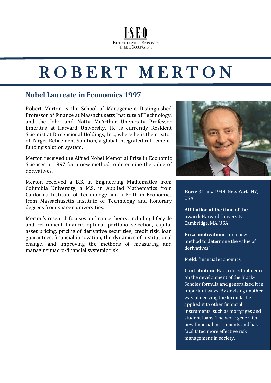## ROBERT MERTON

 $I.S.F.0$ 

**ISTITUTO DI STUDI ECONOMICI** E PER L'OCCUPAZIONE

#### **Nobel Laureate in Economics 1997**

Robert Merton is the School of Management Distinguished Professor of Finance at Massachusetts Institute of Technology, and the John and Natty McArthur University Professor Emeritus at Harvard University. He is currently Resident Scientist at Dimensional Holdings, Inc., where he is the creator of Target Retirement Solution, a global integrated retirementfunding solution system.

Merton received the Alfred Nobel Memorial Prize in Economic Sciences in 1997 for a new method to determine the value of derivatives.

Merton received a B.S. in Engineering Mathematics from Columbia University, a M.S. in Applied Mathematics from California Institute of Technology and a Ph.D. in Economics from Massachusetts Institute of Technology and honorary degrees from sixteen universities.

Merton's research focuses on finance theory, including lifecycle and retirement finance, optimal portfolio selection, capital asset pricing, pricing of derivative securities, credit risk, loan guarantees, financial innovation, the dynamics of institutional change, and improving the methods of measuring and managing macro-financial systemic risk.



**Born:** 31 July 1944, New York, NY, USA

**Affiliation at the time of the award:** Harvard University, Cambridge, MA, USA

**Prize motivation:** "for a new method to determine the value of derivatives"

**Field:** financial economics

**Contribution:** Had a direct influence on the development of the Black-Scholes formula and generalized it in important ways. By devising another way of deriving the formula, he applied it to other financial instruments, such as mortgages and student loans. The work generated new financial instruments and has facilitated more effective risk management in society.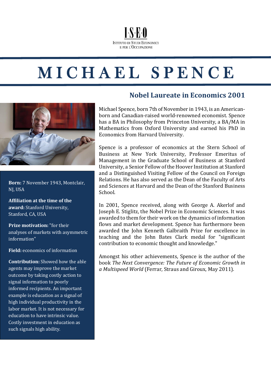#### $I.S.F.0$ **ISTITUTO DI STUDI ECONOMICI** E PER L'OCCUPAZIONE

# M I C H A E L S P E N C E



**Born:** 7 November 1943, Montclair, NJ, USA

**Affiliation at the time of the award:** Stanford University, Stanford, CA, USA

**Prize motivation:** "for their analyses of markets with asymmetric information"

**Field:** economics of information

**Contribution:** Showed how the able agents may improve the market outcome by taking costly action to signal information to poorly informed recipients. An important example is education as a signal of high individual productivity in the labor market. It is not necessary for education to have intrinsic value. Costly investment in education as such signals high ability.

#### **Nobel Laureate in Economics 2001**

Michael Spence, born 7th of November in 1943, is an Americanborn and Canadian-raised world-renowned economist. Spence has a BA in Philosophy from Princeton University, a BA/MA in Mathematics from Oxford University and earned his PhD in Economics from Harvard University.

Spence is a professor of economics at the Stern School of Business at New York University, Professor Emeritus of Management in the Graduate School of Business at Stanford University, a Senior Fellow of the Hoover Institution at Stanford and a Distinguished Visiting Fellow of the Council on Foreign Relations. He has also served as the Dean of the Faculty of Arts and Sciences at Harvard and the Dean of the Stanford Business School.

In 2001, Spence received, along with George A. Akerlof and Joseph E. Stiglitz, the Nobel Prize in Economic Sciences. It was awarded to them for their work on the dynamics of information flows and market development. Spence has furthermore been awarded the John Kenneth Galbraith Prize for excellence in teaching and the John Bates Clark medal for "significant contribution to economic thought and knowledge."

Amongst his other achievements, Spence is the author of the book *The Next Convergence: The Future of Economic Growth in a Multispeed World* (Ferrar, Straus and Giroux, May 2011).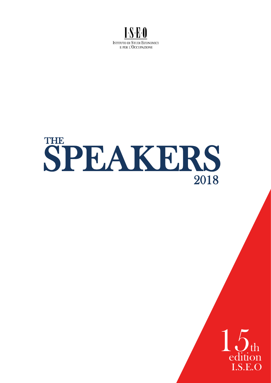

# 2018 SPEAKERS THE

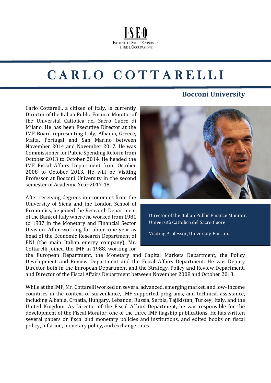## CARLO COTTARELLI

**I-S-E-O** 

**ISTITUTO DI STUDI ECONOMICI** E PER L'OCCUPAZIONE

 $\overline{a}$ 

Carlo Cottarelli, a citizen of Italy, is currently Director of the Italian Public Finance Monitor of the Università Cattolica del Sacro Cuore di Milano. He has been Executive Director at the IMF Board representing Italy, Albania, Greece, Malta, Portugal and San Marino between November 2014 and November 2017. He was Commissioner for Public Spending Reform from October 2013 to October 2014. He headed the IMF Fiscal Affairs Department from October 2008 to October 2013. He will be Visiting Professor at Bocconi University in the second semester of Academic Year 2017-18.

After receiving degrees in economics from the University of Siena and the London School of Economics, he joined the Research Department of the Bank of Italy where he worked from 1981 to 1987 in the Monetary and Financial Sector Division. After working for about one year as head of the Economic Research Department of ENI (the main Italian energy company), Mr. Cottarelli joined the IMF in 1988, working for

#### **Bocconi University**



Director of the Italian Public Finance Monitor, Università Cattolica del Sacro Cuore

Visiting Professor, University Bocconi

the European Department, the Monetary and Capital Markets Department, the Policy Development and Review Department and the Fiscal Affairs Department. He was Deputy Director both in the European Department and the Strategy, Policy and Review Department, and Director of the Fiscal Affairs Department between November 2008 and October 2013.

While at the IMF, Mr. Cottarelli worked on several advanced, emerging market, and low- income countries in the context of surveillance, IMF-supported programs, and technical assistance, including Albania, Croatia, Hungary, Lebanon, Russia, Serbia, Tajikistan, Turkey, Italy, and the United Kingdom. As Director of the Fiscal Affairs Department, he was responsible for the development of the Fiscal Monitor, one of the three IMF flagship publications. He has written several papers on fiscal and monetary policies and institutions, and edited books on fiscal policy, inflation, monetary policy, and exchange rates.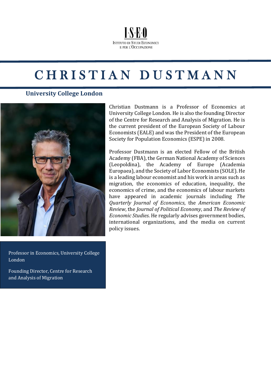#### **ISE0 ISTITUTO DI STUDI ECONOMICI** E PER L'OCCUPAZIONE

### CHRISTIAN DUSTMANN

 $\overline{a}$ 

#### **University College London**



Christian Dustmann is a Professor of Economics at University College London. He is also the founding Director of the Centre for Research and Analysis of Migration. He is the current president of the European Society of Labour Economists (EALE) and was the President of the European Society for Population Economics (ESPE) in 2008.

Professor Dustmann is an elected Fellow of the British Academy (FBA), the German National Academy of Sciences (Leopoldina), the Academy of Europe (Academia Europaea), and the Society of Labor Economists (SOLE). He is a leading labour economist and his work in areas such as migration, the economics of education, inequality, the economics of crime, and the economics of labour markets have appeared in academic journals including *The Quarterly Journal of Economics*, the *American Economic Review*, the *Journal of Political Economy*, and *The Review of Economic Studies*. He regularly advises government bodies, international organizations, and the media on current policy issues.

Professor in Economics, University College London

Founding Director, Centre for Research and Analysis of Migration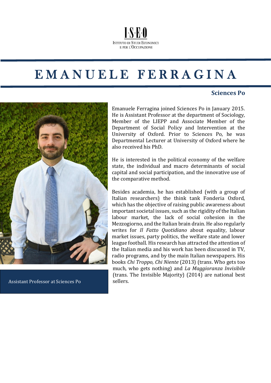

### EMANUELE FERRAGINA

 $\overline{a}$ 

#### **Sciences Po**



Assistant Professor at Sciences Po sellers.

Emanuele Ferragina joined Sciences Po in January 2015. He is Assistant Professor at the department of Sociology, Member of the LIEPP and Associate Member of the Department of Social Policy and Intervention at the University of Oxford. Prior to Sciences Po, he was Departmental Lecturer at University of Oxford where he also received his PhD.

He is interested in the political economy of the welfare state, the individual and macro determinants of social capital and social participation, and the innovative use of the comparative method.

Besides academia, he has established (with a group of Italian researchers) the think tank Fonderia Oxford, which has the objective of raising public awareness about important societal issues, such as the rigidity of the Italian labour market, the lack of social cohesion in the Mezzogiorno, and the Italian brain drain. He also regularly writes for *Il Fatto Quotidiano* about equality, labour market issues, party politics, the welfare state and lower league football. His research has attracted the attention of the Italian media and his work has been discussed in TV, radio programs, and by the main Italian newspapers. His books *Chi Troppo, Chi Niente* (2013) (trans. Who gets too much, who gets nothing) and *La Maggioranza Invisibile* (trans. The Invisible Majority) (2014) are national best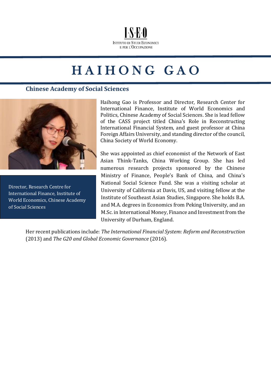

### HAIHONG GAO  $\overline{a}$

#### **Chinese Academy of Social Sciences**



Director, Research Centre for International Finance, Institute of World Economics, Chinese Academy of Social Sciences

Haihong Gao is Professor and Director, Research Center for International Finance, Institute of World Economics and Politics, Chinese Academy of Social Sciences. She is lead fellow of the CASS project titled China's Role in Reconstructing International Financial System, and guest professor at China Foreign Affairs University, and standing director of the council, China Society of World Economy.

She was appointed as chief economist of the Network of East Asian Think-Tanks, China Working Group. She has led numerous research projects sponsored by the Chinese Ministry of Finance, People's Bank of China, and China's National Social Science Fund. She was a visiting scholar at University of California at Davis, US, and visiting fellow at the Institute of Southeast Asian Studies, Singapore. She holds B.A. and M.A. degrees in Economics from Peking University, and an M.Sc. in International Money, Finance and Investment from the University of Durham, England.

Her recent publications include: *The International Financial System: Reform and Reconstruction* (2013) and *The G20 and Global Economic Governance* (2016).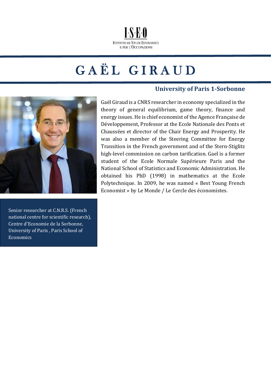

### GAËL GIRAUD  $\overline{a}$

#### **University of Paris 1-Sorbonne**



Senior researcher at C.N.R.S. (French national centre for scientific research), Centre d'Economie de la Sorbonne, University of Paris , Paris School of Economics

Gaël Giraud is a CNRS researcher in economy specialized in the theory of general equilibrium, game theory, finance and energy issues. He is chief economist of the Agence Française de Développement, Professor at the Ecole Nationale des Ponts et Chaussées et director of the Chair Energy and Prosperity. He was also a member of the Steering Committee for Energy Transition in the French government and of the Stern-Stiglitz high-level commission on carbon tarification. Gael is a former student of the Ecole Normale Supérieure Paris and the National School of Statistics and Economic Administration. He obtained his PhD (1998) in mathematics at the Ecole Polytechnique. In 2009, he was named « Best Young French Economist » by Le Monde / Le Cercle des économistes.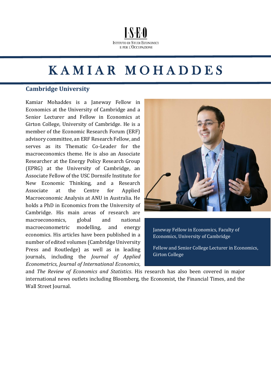#### **I-S-E-O ISTITUTO DI STUDI ECONOMICI** E PER L'OCCUPAZIONE

### KAMIAR MOHADDES  $\overline{a}$

 $\overline{a}$ 

#### **Cambridge University**

Kamiar Mohaddes is a Janeway Fellow in Economics at the University of Cambridge and a Senior Lecturer and Fellow in Economics at Girton College, University of Cambridge. He is a member of the Economic Research Forum (ERF) advisory committee, an ERF Research Fellow, and serves as its Thematic Co-Leader for the macroeconomics theme. He is also an Associate Researcher at the Energy Policy Research Group (EPRG) at the University of Cambridge, an Associate Fellow of the USC Dornsife Institute for New Economic Thinking, and a Research Associate at the Centre for Applied Macroeconomic Analysis at ANU in Australia. He holds a PhD in Economics from the University of Cambridge. His main areas of research are macroeconomics, global and national macroeconometric modelling, and energy economics. His articles have been published in a number of edited volumes (Cambridge University Press and Routledge) as well as in leading journals, including the *Journal of Applied Econometrics*, *Journal of International Economics*,



Janeway Fellow in Economics, Faculty of Economics, University of Cambridge

Fellow and Senior College Lecturer in Economics, Girton College

and *The Review of Economics and Statistics*. His research has also been covered in major international news outlets including Bloomberg, the Economist, the Financial Times, and the Wall Street Journal.